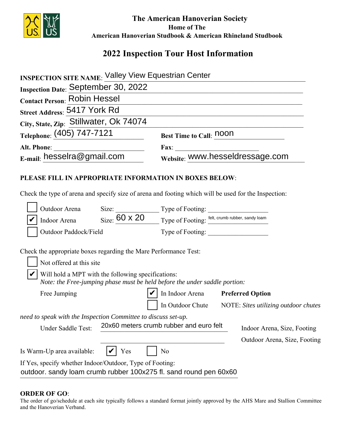

 **The American Hanoverian Society Home of The American Hanoverian Studbook & American Rhineland Studbook**

# **2022 Inspection Tour Host Information**

| <b>Street Address: 5417 York Rd</b>                                                                                              |                                                                                                                                                                                                   |  |
|----------------------------------------------------------------------------------------------------------------------------------|---------------------------------------------------------------------------------------------------------------------------------------------------------------------------------------------------|--|
| City, State, Zip: Stillwater, Ok 74074                                                                                           |                                                                                                                                                                                                   |  |
| Telephone: (405) 747-7121                                                                                                        | <b>Best Time to Call: noon</b>                                                                                                                                                                    |  |
|                                                                                                                                  | Fax: WWW.hesseldressage.com                                                                                                                                                                       |  |
|                                                                                                                                  |                                                                                                                                                                                                   |  |
| PLEASE FILL IN APPROPRIATE INFORMATION IN BOXES BELOW:                                                                           |                                                                                                                                                                                                   |  |
|                                                                                                                                  |                                                                                                                                                                                                   |  |
|                                                                                                                                  | Check the type of arena and specify size of arena and footing which will be used for the Inspection:                                                                                              |  |
|                                                                                                                                  | Outdoor Arena Size: Type of Footing: Type of Example 20 Indoor Arena Size: $\frac{60 \times 20}{\frac{1}{200}}$ Type of Footing: $\frac{\text{felt, crumb rubber, sandy loan}}{\text{fploting}}}$ |  |
|                                                                                                                                  |                                                                                                                                                                                                   |  |
| Outdoor Paddock/Field                                                                                                            | Type of Footing:                                                                                                                                                                                  |  |
| Check the appropriate boxes regarding the Mare Performance Test:                                                                 |                                                                                                                                                                                                   |  |
| Not offered at this site                                                                                                         |                                                                                                                                                                                                   |  |
| Will hold a MPT with the following specifications:<br>Note: the Free-jumping phase must be held before the under saddle portion: |                                                                                                                                                                                                   |  |
| Free Jumping                                                                                                                     | In Indoor Arena Preferred Option                                                                                                                                                                  |  |
|                                                                                                                                  | In Outdoor Chute NOTE: Sites utilizing outdoor chutes                                                                                                                                             |  |
| need to speak with the Inspection Committee to discuss set-up.                                                                   |                                                                                                                                                                                                   |  |
| Under Saddle Test:                                                                                                               | 20x60 meters crumb rubber and euro felt<br>Indoor Arena, Size, Footing                                                                                                                            |  |
|                                                                                                                                  | Outdoor Arena, Size, Footing                                                                                                                                                                      |  |
| Is Warm-Up area available:<br>Yes                                                                                                | No                                                                                                                                                                                                |  |
| If Yes, specify whether Indoor/Outdoor, Type of Footing:                                                                         |                                                                                                                                                                                                   |  |
|                                                                                                                                  |                                                                                                                                                                                                   |  |

outdoor. sandy loam crumb rubber 100x275 fl. sand round pen 60x60

#### **ORDER OF GO**:

The order of go/schedule at each site typically follows a standard format jointly approved by the AHS Mare and Stallion Committee and the Hanoverian Verband.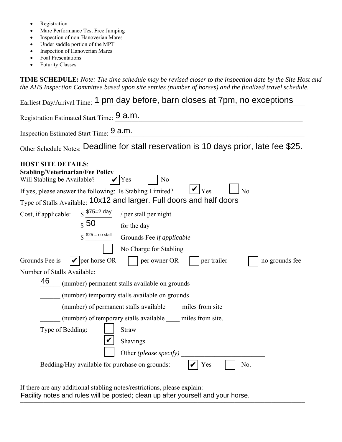- Registration
- Mare Performance Test Free Jumping
- Inspection of non-Hanoverian Mares
- Under saddle portion of the MPT
- Inspection of Hanoverian Mares
- Foal Presentations
- Futurity Classes

**TIME SCHEDULE:** *Note: The time schedule may be revised closer to the inspection date by the Site Host and the AHS Inspection Committee based upon site entries (number of horses) and the finalized travel schedule.* 

Earliest Day/Arrival Time: 1 pm day before, barn closes at 7pm, no exceptions Registration Estimated Start Time:  $\frac{9 \text{ a.m.}}{2}$ Inspection Estimated Start Time:  $\frac{9}{2}$  a.m. Other Schedule Notes: Deadline for stall reservation is 10 days prior, late fee \$25. **HOST SITE DETAILS**: **Stabling/Veterinarian/Fee Policy**  Will Stabling be Available?  $| \mathcal{V} |$  Yes  $| \mathcal{N}$  No If yes, please answer the following: Is Stabling Limited?  $V_{\text{Yes}}$   $\Box$  No Type of Stalls Available: 10x12 and larger. Full doors and half doors Cost, if applicable:  $\frac{$75=2 \text{ day}}{}$  / per stall per night for the day Grounds Fee *if applicable* No Charge for Stabling Grounds Fee is  $\left| \nu \right|$  per horse OR  $\left| \right|$  per owner OR  $\left| \right|$  per trailer no grounds fee Number of Stalls Available: \_\_\_\_\_\_ (number) permanent stalls available on grounds \_\_\_\_\_\_ (number) temporary stalls available on grounds \_\_\_\_\_\_ (number) of permanent stalls available \_\_\_\_ miles from site \_\_\_\_\_\_ (number) of temporary stalls available \_\_\_\_ miles from site. Type of Bedding:  $\vert$  Straw Shavings Other *(please specify)* Bedding/Hay available for purchase on grounds:  $|\mathcal{V}|$  Yes  $|\mathcal{V}|$  No.  $\mathbf{V}$  Yes ✔  $$75=2$  day  $\sqrt{s}$  50  $$^{25}$  = no stall 46 ✔ ✔

If there are any additional stabling notes/restrictions, please explain: Facility notes and rules will be posted; clean up after yourself and your horse.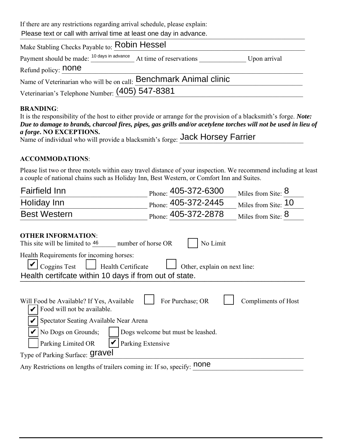If there are any restrictions regarding arrival schedule, please explain:

Please text or call with arrival time at least one day in advance.

| Make Stabling Checks Payable to: Robin Hessel                                 |              |
|-------------------------------------------------------------------------------|--------------|
| Payment should be made: <sup>10 days in advance</sup> At time of reservations | Upon arrival |
| Refund policy: <b>none</b>                                                    |              |
| Name of Veterinarian who will be on call: Benchmark Animal clinic             |              |
| Veterinarian's Telephone Number: (405) 547-8381                               |              |

## **BRANDING**:

| It is the responsibility of the host to either provide or arrange for the provision of a blacksmith's forge. <i>Note:</i> |
|---------------------------------------------------------------------------------------------------------------------------|
| Due to damage to brands, charcoal fires, pipes, gas grills and/or acetylene torches will not be used in lieu of           |
| <i>a forge.</i> NO EXCEPTIONS.                                                                                            |
| Name of individual who will provide a blacksmith's forge: Jack Horsey Farrier                                             |

## **ACCOMMODATIONS**:

Please list two or three motels within easy travel distance of your inspection. We recommend including at least a couple of national chains such as Holiday Inn, Best Western, or Comfort Inn and Suites.

| <b>Fairfield Inn</b>                                                                                                                                                            | Phone: $405-372-6300$             | Miles from Site: 8  |  |  |
|---------------------------------------------------------------------------------------------------------------------------------------------------------------------------------|-----------------------------------|---------------------|--|--|
| Holiday Inn                                                                                                                                                                     | Phone: 405-372-2445               | Miles from Site: 10 |  |  |
| <b>Best Western</b>                                                                                                                                                             | Phone: 405-372-2878               | Miles from Site: 8  |  |  |
| <b>OTHER INFORMATION:</b><br>This site will be limited to 46<br>number of horse OR                                                                                              | No Limit                          |                     |  |  |
| Health Requirements for incoming horses:<br><b>Coggins Test</b><br>Health Certificate<br>Other, explain on next line:<br>Health certifcate within 10 days if from out of state. |                                   |                     |  |  |
| Will Food be Available? If Yes, Available<br>Food will not be available.                                                                                                        | For Purchase; OR                  | Compliments of Host |  |  |
| Spectator Seating Available Near Arena<br>No Dogs on Grounds;<br>Parking Extensive<br>Parking Limited OR                                                                        | Dogs welcome but must be leashed. |                     |  |  |
| Type of Parking Surface: <b>Gravel</b>                                                                                                                                          |                                   |                     |  |  |
| Any Restrictions on lengths of trailers coming in: If so, specify: none                                                                                                         |                                   |                     |  |  |